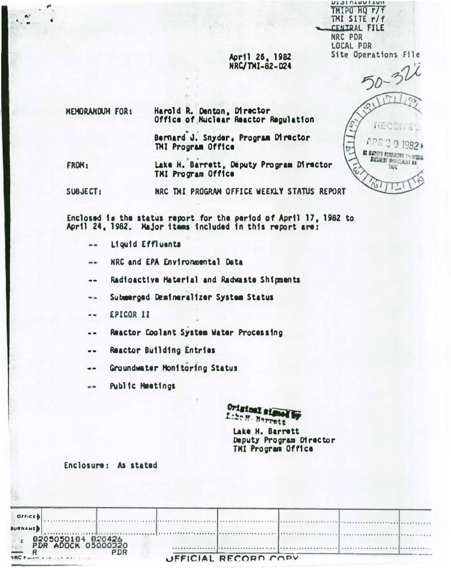TMIPO HQ r/f TMI SITE r/f CENTRAL FILE **NRC PDR LOCAL PDR** Site Operations File

**NTOIVIDOITO** 

# April 26, 1982 NRC/TMI-82-024

50-320 西班牙 出行 定位 APR291982+ BE RUCHLER REGULATORY CONSIGNED **DOCUMENT HARMONICAL BR** TIUC  $\frac{1}{2}$ 

**HEMORANDUM FOR:** Harold R. Denton, Director Office of Muclear Reactor Regulation

> Bernard J. Snyder, Program Director TMI Program Office

Lake H. Barrett, Deputy Program Director FROM: THI Program Office

NRC THI PROGRAM OFFICE WEEKLY STATUS REPORT SUBJECT:

Enclosed is the status report for the period of April 17, 1982 to April 24, 1982. Major itams included in this report are:

- Liquid Effluents ..
- NRC and EPA Environmental Data  $-1$
- Radioactive Material and Radwaste Shipments  $\bullet$
- Submarged Deminaralizer System Status --
- **EPICOR 11**  $=$
- Reactor Coolant System Water Processing  $\bullet$   $\bullet$
- Reactor Building Entries  $\bullet$
- Groundwater Monitoring Status  $\bullet$
- **Public Meetings** --

Original signed by Liber Berrett

Lake H. Barrett Deputy Program Director THI Program Office

## Enclosure: As stated

| <b>OFFICE</b>                                                                                                                                                                                                                                      |                      |
|----------------------------------------------------------------------------------------------------------------------------------------------------------------------------------------------------------------------------------------------------|----------------------|
| <b>BURNAME</b>                                                                                                                                                                                                                                     |                      |
| 8205050184 820426<br>PDR ADOCK 05000320                                                                                                                                                                                                            |                      |
| <b>PDR</b><br><b>NRC Protection of the Contract Contract Contract Contract Contract Contract Contract Contract Contract Contract Contract Contract Contract Contract Contract Contract Contract Contract Contract Contract Contract Contract C</b> | UFFICIAL RECORD COPY |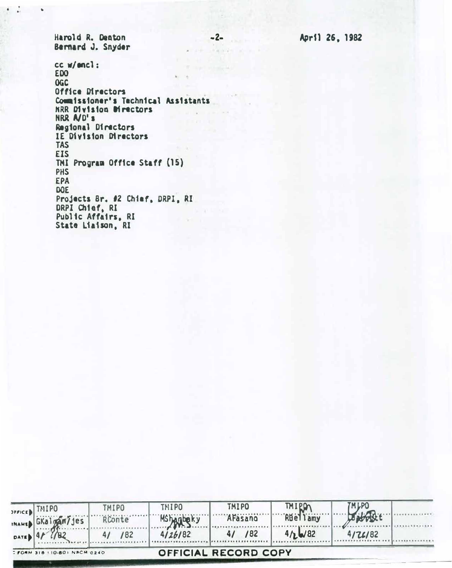April 26, 1982

 $-2-$ 

PE PASTE ALL A

Harold R. Deaton Bernard J. Snyder

- 18

cc w/encl: EDO  $k = -k$ **OGC** Office Directors  $\omega_{\rm{eff}}=1.5$  and  $\omega_{\rm{eff}}=0.0$ Coumissioner's Technical Assistants **KRR Division Directors** NRR ND's Regional Directors IE Division Directors **TAS EIS** THI Program Office Staff (15) **PHS EPA** DOE Projects Br. #2 Chief, DRPI, RI DRPI Chief, RI<br>Public Affairs, RI  $E = 10$ State Liaison, RI

|        | SPPICED TMIPO                | <b>TMIPO</b>        | <b>THIPO</b> | <b>TMIPO</b>         | <b>TMIPO</b>    | <b>TMLPO</b> |  |
|--------|------------------------------|---------------------|--------------|----------------------|-----------------|--------------|--|
|        | INAMED GKalgan/Jes           | RConte <sup>®</sup> |              | AFasano              | <b>RBellamy</b> |              |  |
| DATE 4 |                              | /82                 | 4/26/82      | /82                  | 4/16/82         | 4/26/82      |  |
|        | : FORM 318 110-80) NRCM 0240 |                     |              | OFFICIAL RECORD COPY |                 |              |  |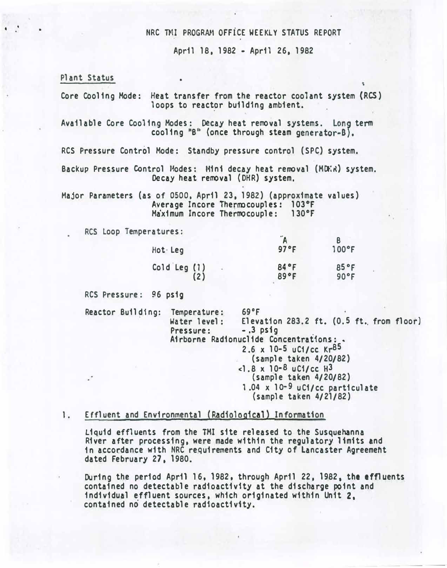### NRC TMI PROGRAM OFFICE WEEKLY STATUS REPORT

April 18, 1982 • April 26. 1982

Plant Status

• •

Core Cooling Mode: Heat transfer from the reactor coolant system (RCS) loops to reactor building ambient.

Available Core Cooling Modes: Decay heat removal systems. Long term cooling "B" (once through steam generator-B).

RCS Pressure Control Mode: Standby pressure control (SPC) system.

Backup Pressure Control Modes: Mini decay heat removal (MDER) system. Decay heat removal (DHR) system.

Major Parameters (as of osoo. April 23. 1982) {approximate values) Average Incore Thermocouples: 103°F Ma'ximum Incore Thermocouple: 130°F

RCS loop Temperatures:

| Hot Leg                 | 97°F         | $100^{\circ}F$ |
|-------------------------|--------------|----------------|
| Cold Leg $(1)$<br>$(2)$ | 84°F<br>89°F | 85°F<br>90°F   |

RCS Pressure: 96 psig

Reactor Building: Temperature: 69°F<br>Water level: Eleva Elevation 283.2 ft.  $(0.5$  ft. from floor)<br>-.3 psig Pressure: . Airborne Radionuclide Concentrations: • 2.6  $\times$  10-5 uC1/cc Kr<sup>85</sup> {sample taken 4/20/82)  $<$ 1.8 x 10-8 uCi/cc H3 (sample taken 4/20/82) 1.04 x lo-9 uCi/cc particulate (sample taken 4/21/82)

### 1. Effluent and Environmental (Radiological) Information

Liquid effluents from the TMI site released to the Susquehanna River after processing. were made within the regulatory limits and in accordance with NRC requirements and City of Lancaster Agreemeht dated February 27. 1980.

During the period April 16, 1982. through April 22, 1982, the effluents contained no detectable radioactivity at the discharge point and individual effluent sources, which originated within Unit 2, contained no detectable radioactivity.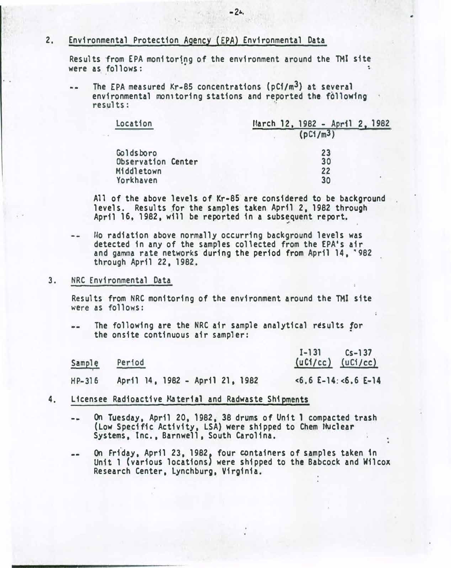### 2. Environmental Protection Agency (EPA) Environmental Data

Results from EPA monitoring of the environment around the TMI site were as follows:  $\ddot{\phantom{1}}$ 

The EPA measured Kr-85 concentrations (pCf/m3) at several environmental monitoring stations and reported the following results:

| Location           | March 12, 1982 - April 2, 1982 |  |  |
|--------------------|--------------------------------|--|--|
|                    | (pC1/m <sup>3</sup> )          |  |  |
| Goldsboro          | 23                             |  |  |
| Observation Center | 30                             |  |  |
| Middletown         | 22                             |  |  |
| Yorkhaven          | 30                             |  |  |

All of the above levels of Kr-85. are considered to be background levels. Results for the samples taken April 2, 1982 through April 16, 1982, will be reported in a subsequent report.

..

�o radiation above normally occurring background levels was  $-$ detected in any of the samples collected from the EPA's air and gamma rate networks during the period from April 14, '982 through April 22, 1982.

#### 3. NRC Environmental Data

Results from NRC monitoring of the environment around the TMI site were as follows:

The following are the NRC air sample analytical results for  $-$ the onsite continuous air sampler:

| Sample   |                                 | $I - 131$ $Cs - 137$   |
|----------|---------------------------------|------------------------|
| Perfod   |                                 | $(uC1/cc)$ $(uC1/cc)$  |
| $HP-316$ | April 14, 1982 - April 21, 1982 | $5.6$ £-14: $5.6$ £-14 |

- 4. Licensee Radioactive Material and Radwaste Shipments
	- On Tuesday, April 20, 1982, 38 drums of Unit 1 compacted trash (Low Specific Activity, LSA) were shipped to Chem Muclear Systems, Inc., Barnwell. South Carolina.
	- On Friday, April 23, 1982, four containers of samples taken in --Unit 1 (various locations} were shipped to the Babcock and Wilcox Research Center, Lynchburg, Virginia.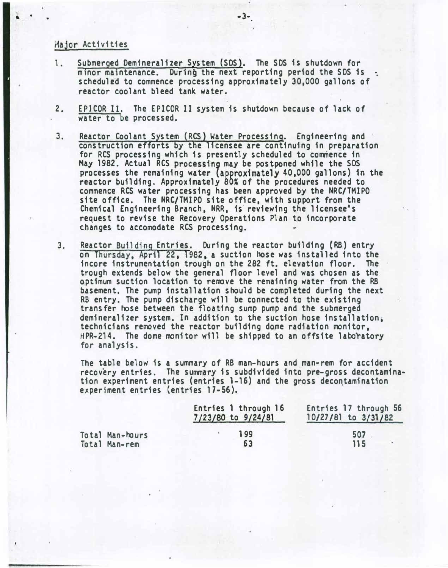Major Activities

- 1. Submerged Demineralizer System (SDS). The SDS is shutdown for minor maintenance. During the next reporting period the SDS is  $\cdot$ . scheduled to commence processing approximately 30.000 gallons of reactor coolant bleed tank water.
- 2. EPICOR II. The EPICOR II system is shutdown because of lack of water to be processed.
- 3. Reactor Coolant System (RCS) Water Processing. Engineering and construction efforts by the licensee are continuing in preparation for RCS processing which is presently scheduled to commence 1n May 1982. Actual RCS processing may be postponed while the SDS processes the remaining water (approximately 40,000 gallons) in the reactor building. Approximately 80% of the procedures needed to commence RCS water processing has been approved by the NRC/TMIPO site office. The NRC/TMIPO site office, with support from the Chemical Engineering Branch, NRR, is reviewing the licensee's request to revise the Recovery Operations Plan to incorporate changes to accomodate RCS processing.
- 3. Reactor Building Entrfes. During the reactor building {RB) entry on Thursday, April 22, 1982, a suction hose was installed into the incore instrumentation trough on the 282 ft. elevation floor. The trough extends below the general floor level and was chosen as the optimum suction location to remove the remaining water from the RB basement. The pump installation should be completed during the next RB entry. The pump discharge will be connected to the existing transfer hose between the floating sump pump and the submerged demineralizer system. In addition to the suction hose installation, technicians removed the reactor building dome radiation monitor. HPR-214. The dome monitor will be shipped to an offs1te laboratory for analysis.

The table below is a summary of RB man-hours and man-rem for accident recovery entries. The summary is subdivided into pre-gross decontamination experiment entries (entries 1-16) and the gross decontamination experiment entries (entries 17-56).

|                 | Entries 1 through 16<br>7/23/80 to 9/24/81 | Entries 17 through 56<br>$10/27/81$ to $3/31/82$ |
|-----------------|--------------------------------------------|--------------------------------------------------|
| Total Man-hours | 199                                        | 507                                              |
| Total Man-rem   | 63                                         | 115                                              |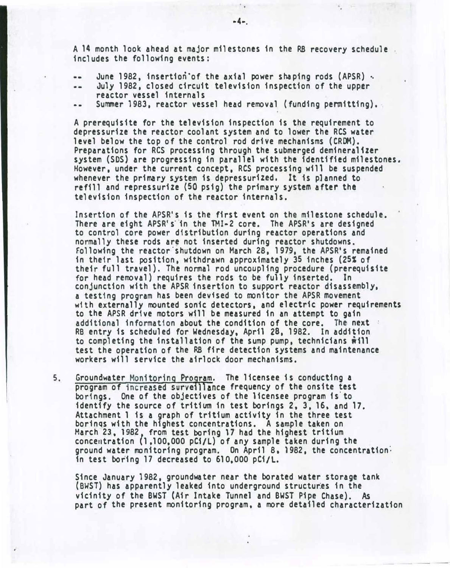A 14 month look ahead at major milestones in the RB recovery schedule includes the following events:

- June 1982, insertion of the axial power shaping rods (APSR)  $\cdot$ .
- July 1982, closed circuit television inspection of the upper .. reactor vessel internals
- •• Summer 1983, reactor vessel head removal (funding permitting).·

A prerequisite for the television inspection is the requirement to depressurize the reactor coolant system and to lower the RCS water level below the top of the control rod drive mechanisms (CRDM). Preparations for RCS processing through the submerged demineralizer system (SDS) are progressing in parallel with the identified milestones. However, under the current concept, RCS processing will be suspended whenever the primary system is depressurized. It is planned to refill and repressurize (50 psig) the primary system after the television inspection of the reactor internals.

Insertion of the APSR's is the first event on the milestone schedule. There are eight APSR's in the TMI-2 core. The APSR's are designed to control core power distribution during reactor operations and normally these rods are not inserted during reactor shutdowns. Following the reactor shutdown on March 28, 1979, the APSR's remained in their last position, withdrawn approximately 35 inches (25� of their full travel). The normal rod uncoupling procedure (prerequisite for head removal) requires the rods to be fully inserted. In conjunction with the APSR insertion to support reactor disassembly. a testing program has been devised to monitor the APSR movement with externally mounted sonic detectors, and electric power requirements to the APSR drive motors will be measured in an attempt to gain additional information about the condition of the core. The next : RB entry is scheduled for Wednesday, April 28, 1982. In addition to completing the installation of the sump pump, technicians  $\hat{\mathbf{w}}$ ill test the operation of the RB fire detection systems and maintenance workers will service the airlock door mechanisms.

5, Groundwater Monitoring Program. The licensee is conducting a program of increased surveillance frequency of the onsite test borings. One of the objectives of the licensee program 1s'to identify the source of tritium in test borings 2, 3. 16. and 17. Attachment 1 is a graph of tritium activity in the three test borings with the highest concentrations. A sample taken on March 23. 1982 from test boring 17 had the highest tritium concentration (1.100,000 pC1/L) of any sample taken during the ground water monitoring program. On April 8, 1982, the concentration: in test boring 17 decreased to 610,000 pCi/L.

Since January 1982, groundwater near the borated water storage tank (BWST) has apparently leaked into underground structures in the vicinity of the BWST {Air Intake Tunnel and BWST Pipe Chase). As part of the present monitoring program, a more detailed characterization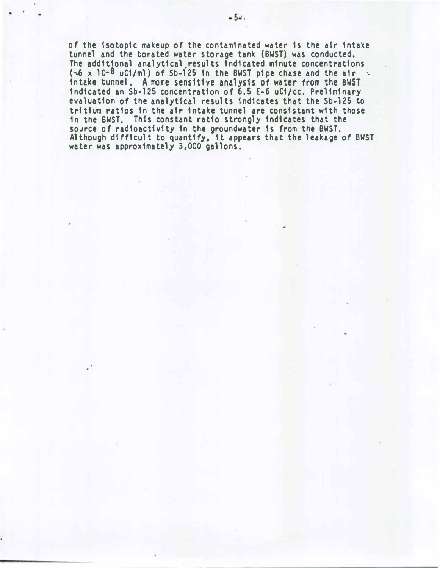of the isotopic makeup of the contaminated water is the air intake tunnel and the borated water storage tank (BWST) was conducted. The additional analytical.results indicated minute concentrations  $(\sqrt{6} \times 10^{-8} \text{ uC1/ml})$  of Sb-125 in the BWST pipe chase and the air  $\cdot$ . in take tunnel. A more sens1t1ve analysis of water from the BWST indicated an Sb-125 concentration of 6.5 E-6 uCi/cc. Preliminary evaluation of the analytical results indicates that the Sb-125 to tritium ratios in the air intake tunnel are consistant with those in the BWST. This constant ratio strongly indicates that the source of radioactivity in the groundwater is from the BWST. Although difficult to quantify, it appears that the leakage of BWST water was approximately 3,000 gallons.

•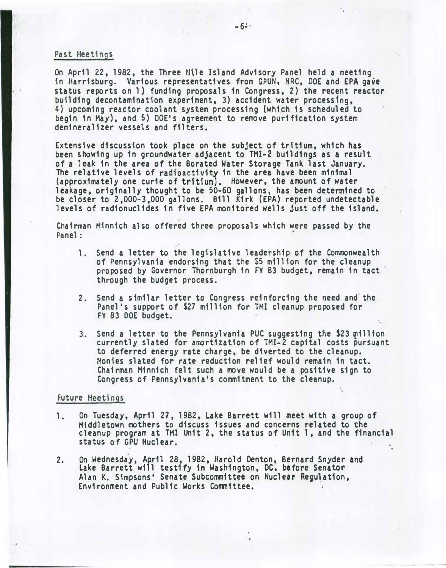#### Past Meetings

On April 22, 1982, the Three Mile Island Advisory Panel held a meeting in Harrisburg. Various representatives from GPUN, NRC, DOE and EPA gave status reports on 1) funding proposals in Congress, 2) the recent reactor building decontamination experiment, 3) accident water processfng, 4) upcoming reactor coolant system processing (which is schedufed to begin in May), and 5) DOE's agreement to remove purification system dem1nera11zer vessels and filters.

Extensive discussion took place on the subject of tritium, which has been showing up in groundwater adjacent to TMI-2 buildings as a result of a leak 1n the area of the Borated Water Storage Tank last January. The relative levels of radioactivity in the area have been minimal (approximately one curie of tritium}. However, the amount of water leakage, originally thought to be 50-60 gallons, has been determined to be closer to 2,000-3,000 gallons. Bill Kirk (EPA) reported undetectable levels of radionuclides in five EPA monitored wells just off the island.

Chairman Minnich a1so offered three proposals which were passed by the Panel : '

- 1. Send a letter to the legislative leadership of the Commonwealth of Pennsylvania endorsing that the \$5 million for the cleanup proposed by Governor Thornburgh in FY 83 budget, remain in tact through the budget process.
- 2. Send a similar letter to Congress reinforcing the need and the Panel's support of \$27 million for TMI cleanup proposed for FY 83 DOE budget.
- 3. Send a 1etter·to the Pennsylvania PUC suggesting tne \$23 million currently slated for amortization of TMI-2 capital costs pursuant to deferred energy rate charge, be diverted to the cleanup. Monies slated for rate reduction relief would remain in tact. Chairman Minnich felt such a move would be a positive sign to Congress of Pennsylvania's commitment to the cleanup.

·.

#### Future Meetings

- 1. On Tuesday, April 27, 1982, Lake Barrett will meet with a group of Middletown mothers to discuss issues and concerns related to the cleanup program at TMI Unit 2, the status of Unit 1, and the financial status of GPU Nuclear.
- 2. On Wednesday, April 28, 1982, Harold Denton, Bernard Snyder and Lake Barrett will testify tn Washington, DC, before Senator Alan K. Simpsons' Senate Subcommittee on Nuclear Regulation. Environment and Public Works Committee.